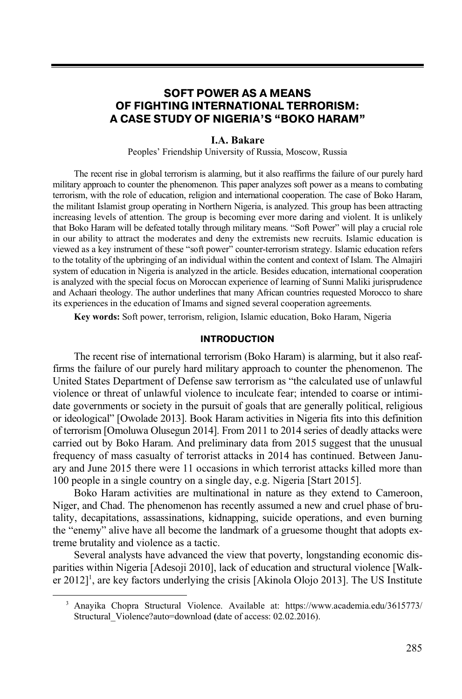# **SOFT POWER AS A MEANS OF FIGHTING INTERNATIONAL TERRORISM: A CASE STUDY OF NIGERIA'S "BOKO HARAM"**

### **I.A. Bakare**

Peoples' Friendship University of Russia, Moscow, Russia

The recent rise in global terrorism is alarming, but it also reaffirms the failure of our purely hard military approach to counter the phenomenon. This paper analyzes soft power as a means to combating terrorism, with the role of education, religion and international cooperation. The case of Boko Haram, the militant Islamist group operating in Northern Nigeria, is analyzed. This group has been attracting increasing levels of attention. The group is becoming ever more daring and violent. It is unlikely that Boko Haram will be defeated totally through military means. "Soft Power" will play a crucial role in our ability to attract the moderates and deny the extremists new recruits. Islamic education is viewed as a key instrument of these "soft power" counter-terrorism strategy. Islamic education refers to the totality of the upbringing of an individual within the content and context of Islam. The Almajiri system of education in Nigeria is analyzed in the article. Besides education, international cooperation is analyzed with the special focus on Moroccan experience of learning of Sunni Maliki jurisprudence and Achaari theology. The author underlines that many African countries requested Morocco to share its experiences in the education of Imams and signed several cooperation agreements.

**Key words:** Soft power, terrorism, religion, Islamic education, Boko Haram, Nigeria

#### **INTRODUCTION**

The recent rise of international terrorism (Boko Haram) is alarming, but it also reaffirms the failure of our purely hard military approach to counter the phenomenon. The United States Department of Defense saw terrorism as "the calculated use of unlawful violence or threat of unlawful violence to inculcate fear; intended to coarse or intimidate governments or society in the pursuit of goals that are generally political, religious or ideological" [Owolade 2013]. Book Haram activities in Nigeria fits into this definition of terrorism [Omoluwa Olusegun 2014]. From 2011 to 2014 series of deadly attacks were carried out by Boko Haram. And preliminary data from 2015 suggest that the unusual frequency of mass casualty of terrorist attacks in 2014 has continued. Between January and June 2015 there were 11 occasions in which terrorist attacks killed more than 100 people in a single country on a single day, e.g. Nigeria [Start 2015].

Boko Haram activities are multinational in nature as they extend to Cameroon, Niger, and Chad. The phenomenon has recently assumed a new and cruel phase of brutality, decapitations, assassinations, kidnapping, suicide operations, and even burning the "enemy" alive have all become the landmark of a gruesome thought that adopts extreme brutality and violence as a tactic.

Several analysts have advanced the view that poverty, longstanding economic disparities within Nigeria [Adesoji 2010], lack of education and structural violence [Walker 2012]<sup>1</sup>, are key factors underlying the crisis [Akinola Olojo 2013]. The US Institute

<sup>3</sup> Anayika Chopra Structural Violence. Available at: https://www.academia.edu/3615773/ Structural\_Violence?auto=download **(**date of access: 02.02.2016).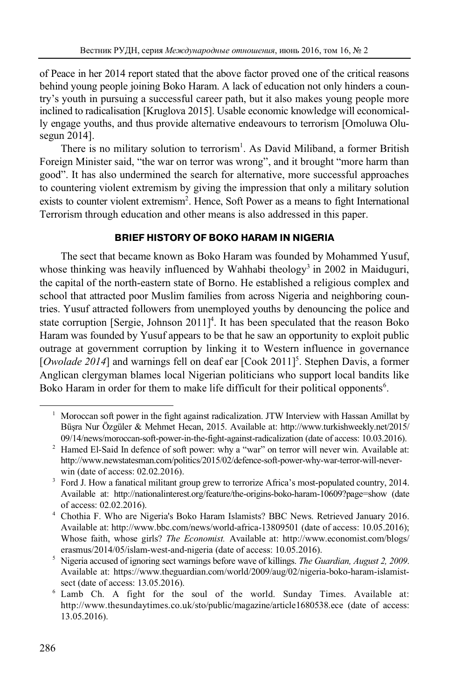of Peace in her 2014 report stated that the above factor proved one of the critical reasons behind young people joining Boko Haram. A lack of education not only hinders a country's youth in pursuing a successful career path, but it also makes young people more inclined to radicalisation [Kruglova 2015]. Usable economic knowledge will economically engage youths, and thus provide alternative endeavours to terrorism [Omoluwa Olusegun 2014].

There is no military solution to terrorism<sup>1</sup>. As David Miliband, a former British Foreign Minister said, "the war on terror was wrong", and it brought "more harm than good". It has also undermined the search for alternative, more successful approaches to countering violent extremism by giving the impression that only a military solution exists to counter violent extremism<sup>2</sup>. Hence, Soft Power as a means to fight International Terrorism through education and other means is also addressed in this paper.

# **BRIEF HISTORY OF BOKO HARAM IN NIGERIA**

The sect that became known as Boko Haram was founded by Mohammed Yusuf, whose thinking was heavily influenced by Wahhabi theology<sup>3</sup> in 2002 in Maiduguri, the capital of the north-eastern state of Borno. He established a religious complex and school that attracted poor Muslim families from across Nigeria and neighboring countries. Yusuf attracted followers from unemployed youths by denouncing the police and state corruption [Sergie, Johnson  $2011$ ]<sup>4</sup>. It has been speculated that the reason Boko Haram was founded by Yusuf appears to be that he saw an opportunity to exploit public outrage at government corruption by linking it to Western influence in governance [*Owolade 2014*] and warnings fell on deaf ear [Cook 2011]<sup>5</sup>. Stephen Davis, a former Anglican clergyman blames local Nigerian politicians who support local bandits like Boko Haram in order for them to make life difficult for their political opponents<sup>6</sup>.

l

<sup>1</sup> Moroccan soft power in the fight against radicalization. JTW Interview with Hassan Amillat by Büşra Nur Özgüler & Mehmet Hecan, 2015. Available at: http://www.turkishweekly.net/2015/ 09/14/news/moroccan-soft-power-in-the-fight-against-radicalization (date of access: 10.03.2016). 2

<sup>&</sup>lt;sup>2</sup> Hamed El-Said In defence of soft power: why a "war" on terror will never win. Available at: http://www.newstatesman.com/politics/2015/02/defence-soft-power-why-war-terror-will-neverwin (date of access: 02.02.2016).<br><sup>3</sup> Ford I How a fanatical militant or

Ford J. How a fanatical militant group grew to terrorize Africa's most-populated country, 2014. Available at: http://nationalinterest.org/feature/the-origins-boko-haram-10609?page=show (date

of access: 02.02.2016). 4 Chothia F. Who are Nigeria's Boko Haram Islamists? BBC News. Retrieved January 2016. Available at: http://www.bbc.com/news/world-africa-13809501 (date of access: 10.05.2016); Whose faith, whose girls? *The Economist.* Available at: http://www.economist.com/blogs/ erasmus/2014/05/islam-west-and-nigeria (date of access: 10.05.2016).

Nigeria accused of ignoring sect warnings before wave of killings. *The Guardian, August 2, 2009*. Available at: https://www.theguardian.com/world/2009/aug/02/nigeria-boko-haram-islamistsect (date of access:  $13.05.2016$ ).

 $6$  Lamb Ch. A fight for the soul of the world. Sunday Times. Available at: http://www.thesundaytimes.co.uk/sto/public/magazine/article1680538.ece (date of access: 13.05.2016).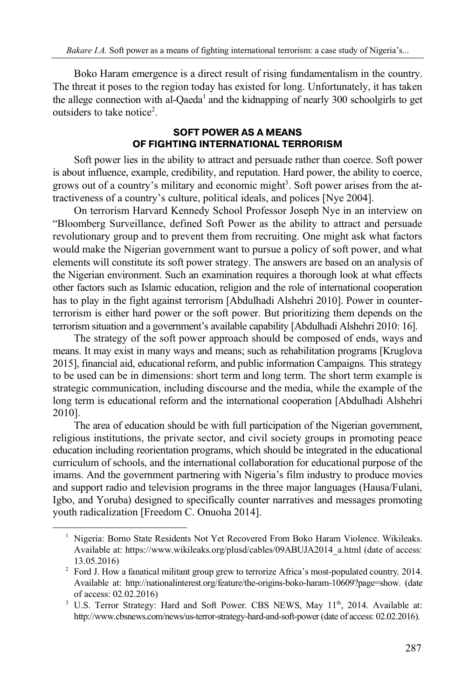Boko Haram emergence is a direct result of rising fundamentalism in the country. The threat it poses to the region today has existed for long. Unfortunately, it has taken the allege connection with al-Qaeda<sup>1</sup> and the kidnapping of nearly 300 schoolgirls to get outsiders to take notice<sup>2</sup>.

### **SOFT POWER AS A MEANS OF FIGHTING INTERNATIONAL TERRORISM**

Soft power lies in the ability to attract and persuade rather than coerce. Soft power is about influence, example, credibility, and reputation. Hard power, the ability to coerce, grows out of a country's military and economic might<sup>3</sup>. Soft power arises from the attractiveness of a country's culture, political ideals, and polices [Nye 2004].

On terrorism Harvard Kennedy School Professor Joseph Nye in an interview on "Bloomberg Surveillance, defined Soft Power as the ability to attract and persuade revolutionary group and to prevent them from recruiting. One might ask what factors would make the Nigerian government want to pursue a policy of soft power, and what elements will constitute its soft power strategy. The answers are based on an analysis of the Nigerian environment. Such an examination requires a thorough look at what effects other factors such as Islamic education, religion and the role of international cooperation has to play in the fight against terrorism [Abdulhadi Alshehri 2010]. Power in counterterrorism is either hard power or the soft power. But prioritizing them depends on the terrorism situation and a government's available capability [Abdulhadi Alshehri 2010: 16].

The strategy of the soft power approach should be composed of ends, ways and means. It may exist in many ways and means; such as rehabilitation programs [Kruglova 2015], financial aid, educational reform, and public information Campaigns. This strategy to be used can be in dimensions: short term and long term. The short term example is strategic communication, including discourse and the media, while the example of the long term is educational reform and the international cooperation [Abdulhadi Alshehri 2010].

The area of education should be with full participation of the Nigerian government, religious institutions, the private sector, and civil society groups in promoting peace education including reorientation programs, which should be integrated in the educational curriculum of schools, and the international collaboration for educational purpose of the imams. And the government partnering with Nigeria's film industry to produce movies and support radio and television programs in the three major languages (Hausa/Fulani, Igbo, and Yoruba) designed to specifically counter narratives and messages promoting youth radicalization [Freedom C. Onuoha 2014].

<sup>&</sup>lt;sup>1</sup> Nigeria: Borno State Residents Not Yet Recovered From Boko Haram Violence. Wikileaks. Available at: https://www.wikileaks.org/plusd/cables/09ABUJA2014\_a.html (date of access: 13.05.2016) 2

Ford J. How a fanatical militant group grew to terrorize Africa's most-populated country*,* 2014. Available at: http://nationalinterest.org/feature/the-origins-boko-haram-10609?page=show. (date of access: 02.02.2016) 3

 $3$  U.S. Terror Strategy: Hard and Soft Power. CBS NEWS, May  $11<sup>th</sup>$ , 2014. Available at: http://www.cbsnews.com/news/us-terror-strategy-hard-and-soft-power (date of access: 02.02.2016).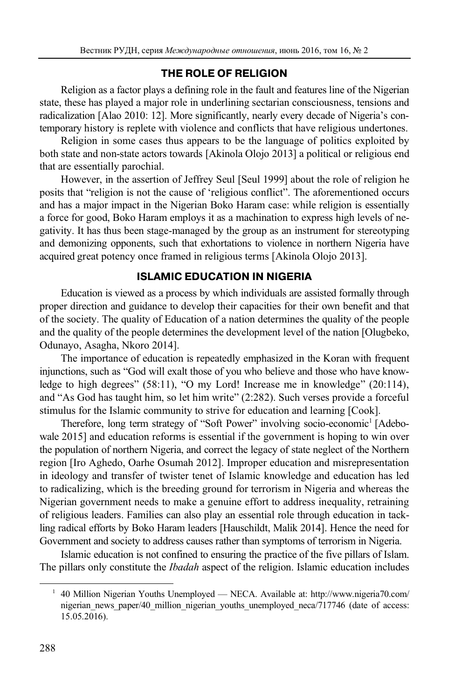# **THE ROLE OF RELIGION**

Religion as a factor plays a defining role in the fault and features line of the Nigerian state, these has played a major role in underlining sectarian consciousness, tensions and radicalization [Alao 2010: 12]. More significantly, nearly every decade of Nigeria's contemporary history is replete with violence and conflicts that have religious undertones.

Religion in some cases thus appears to be the language of politics exploited by both state and non-state actors towards [Akinola Olojo 2013] a political or religious end that are essentially parochial.

However, in the assertion of Jeffrey Seul [Seul 1999] about the role of religion he posits that "religion is not the cause of 'religious conflict". The aforementioned occurs and has a major impact in the Nigerian Boko Haram case: while religion is essentially a force for good, Boko Haram employs it as a machination to express high levels of negativity. It has thus been stage-managed by the group as an instrument for stereotyping and demonizing opponents, such that exhortations to violence in northern Nigeria have acquired great potency once framed in religious terms [Akinola Olojo 2013].

# **ISLAMIC EDUCATION IN NIGERIA**

Education is viewed as a process by which individuals are assisted formally through proper direction and guidance to develop their capacities for their own benefit and that of the society. The quality of Education of a nation determines the quality of the people and the quality of the people determines the development level of the nation [Olugbeko, Odunayo, Asagha, Nkoro 2014].

The importance of education is repeatedly emphasized in the Koran with frequent injunctions, such as "God will exalt those of you who believe and those who have knowledge to high degrees" (58:11), "O my Lord! Increase me in knowledge" (20:114), and "As God has taught him, so let him write" (2:282). Such verses provide a forceful stimulus for the Islamic community to strive for education and learning [Cook].

Therefore, long term strategy of "Soft Power" involving socio-economic<sup>1</sup> [Adebowale 2015] and education reforms is essential if the government is hoping to win over the population of northern Nigeria, and correct the legacy of state neglect of the Northern region [Iro Aghedo, Oarhe Osumah 2012]. Improper education and misrepresentation in ideology and transfer of twister tenet of Islamic knowledge and education has led to radicalizing, which is the breeding ground for terrorism in Nigeria and whereas the Nigerian government needs to make a genuine effort to address inequality, retraining of religious leaders. Families can also play an essential role through education in tackling radical efforts by Boko Haram leaders [Hauschildt, Malik 2014]. Hence the need for Government and society to address causes rather than symptoms of terrorism in Nigeria.

Islamic education is not confined to ensuring the practice of the five pillars of Islam. The pillars only constitute the *Ibadah* aspect of the religion. Islamic education includes

l

<sup>&</sup>lt;sup>1</sup> 40 Million Nigerian Youths Unemployed — NECA. Available at: http://www.nigeria70.com/ nigerian\_news\_paper/40\_million\_nigerian\_youths\_unemployed\_neca/717746 (date of access: 15.05.2016).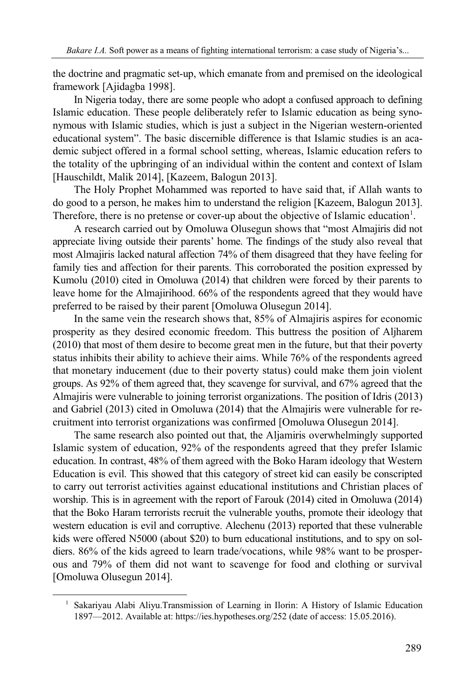the doctrine and pragmatic set-up, which emanate from and premised on the ideological framework [Ajidagba 1998].

In Nigeria today, there are some people who adopt a confused approach to defining Islamic education. These people deliberately refer to Islamic education as being synonymous with Islamic studies, which is just a subject in the Nigerian western-oriented educational system". The basic discernible difference is that Islamic studies is an academic subject offered in a formal school setting, whereas, Islamic education refers to the totality of the upbringing of an individual within the content and context of Islam [Hauschildt, Malik 2014], [Kazeem, Balogun 2013].

The Holy Prophet Mohammed was reported to have said that, if Allah wants to do good to a person, he makes him to understand the religion [Kazeem, Balogun 2013]. Therefore, there is no pretense or cover-up about the objective of Islamic education<sup>1</sup>.

A research carried out by Omoluwa Olusegun shows that "most Almajiris did not appreciate living outside their parents' home. The findings of the study also reveal that most Almajiris lacked natural affection 74% of them disagreed that they have feeling for family ties and affection for their parents. This corroborated the position expressed by Kumolu (2010) cited in Omoluwa (2014) that children were forced by their parents to leave home for the Almajirihood. 66% of the respondents agreed that they would have preferred to be raised by their parent [Omoluwa Olusegun 2014].

In the same vein the research shows that, 85% of Almajiris aspires for economic prosperity as they desired economic freedom. This buttress the position of Aljharem (2010) that most of them desire to become great men in the future, but that their poverty status inhibits their ability to achieve their aims. While 76% of the respondents agreed that monetary inducement (due to their poverty status) could make them join violent groups. As 92% of them agreed that, they scavenge for survival, and 67% agreed that the Almajiris were vulnerable to joining terrorist organizations. The position of Idris (2013) and Gabriel (2013) cited in Omoluwa (2014) that the Almajiris were vulnerable for recruitment into terrorist organizations was confirmed [Omoluwa Olusegun 2014].

The same research also pointed out that, the Aljamiris overwhelmingly supported Islamic system of education, 92% of the respondents agreed that they prefer Islamic education. In contrast, 48% of them agreed with the Boko Haram ideology that Western Education is evil. This showed that this category of street kid can easily be conscripted to carry out terrorist activities against educational institutions and Christian places of worship. This is in agreement with the report of Farouk (2014) cited in Omoluwa (2014) that the Boko Haram terrorists recruit the vulnerable youths, promote their ideology that western education is evil and corruptive. Alechenu (2013) reported that these vulnerable kids were offered N5000 (about \$20) to burn educational institutions, and to spy on soldiers. 86% of the kids agreed to learn trade/vocations, while 98% want to be prosperous and 79% of them did not want to scavenge for food and clothing or survival [Omoluwa Olusegun 2014].

<sup>&</sup>lt;sup>1</sup> Sakariyau Alabi Aliyu.Transmission of Learning in Ilorin: A History of Islamic Education 1897—2012. Available at: https://ies.hypotheses.org/252 (date of access: 15.05.2016).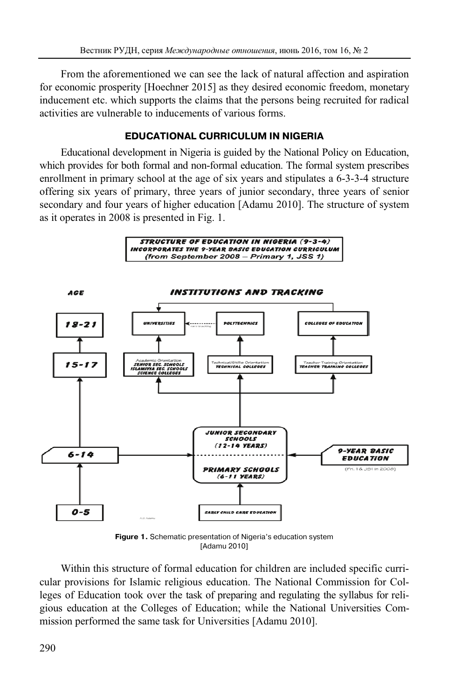From the aforementioned we can see the lack of natural affection and aspiration for economic prosperity [Hoechner 2015] as they desired economic freedom, monetary inducement etc. which supports the claims that the persons being recruited for radical activities are vulnerable to inducements of various forms.

## **EDUCATIONAL CURRICULUM IN NIGERIA**

Educational development in Nigeria is guided by the National Policy on Education, which provides for both formal and non-formal education. The formal system prescribes enrollment in primary school at the age of six years and stipulates a 6-3-3-4 structure offering six years of primary, three years of junior secondary, three years of senior secondary and four years of higher education [Adamu 2010]. The structure of system as it operates in 2008 is presented in Fig. 1.





**Figure 1.** Schematic presentation of Nigeria's education system [Adamu 2010]

Within this structure of formal education for children are included specific curricular provisions for Islamic religious education. The National Commission for Colleges of Education took over the task of preparing and regulating the syllabus for religious education at the Colleges of Education; while the National Universities Commission performed the same task for Universities [Adamu 2010].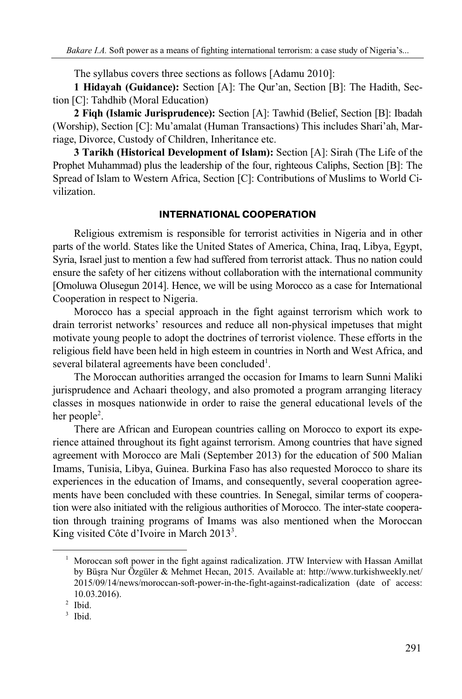The syllabus covers three sections as follows [Adamu 2010]:

**1 Hidayah (Guidance):** Section [A]: The Qur'an, Section [B]: The Hadith, Section [C]: Tahdhib (Moral Education)

**2 Fiqh (Islamic Jurisprudence):** Section [A]: Tawhid (Belief, Section [B]: Ibadah (Worship), Section [C]: Mu'amalat (Human Transactions) This includes Shari'ah, Marriage, Divorce, Custody of Children, Inheritance etc.

**3 Tarikh (Historical Development of Islam):** Section [A]: Sirah (The Life of the Prophet Muhammad) plus the leadership of the four, righteous Caliphs, Section [B]: The Spread of Islam to Western Africa, Section [C]: Contributions of Muslims to World Civilization.

## **INTERNATIONAL COOPERATION**

Religious extremism is responsible for terrorist activities in Nigeria and in other parts of the world. States like the United States of America, China, Iraq, Libya, Egypt, Syria, Israel just to mention a few had suffered from terrorist attack. Thus no nation could ensure the safety of her citizens without collaboration with the international community [Omoluwa Olusegun 2014]. Hence, we will be using Morocco as a case for International Cooperation in respect to Nigeria.

Morocco has a special approach in the fight against terrorism which work to drain terrorist networks' resources and reduce all non-physical impetuses that might motivate young people to adopt the doctrines of terrorist violence. These efforts in the religious field have been held in high esteem in countries in North and West Africa, and several bilateral agreements have been concluded<sup>1</sup>.

The Moroccan authorities arranged the occasion for Imams to learn Sunni Maliki jurisprudence and Achaari theology, and also promoted a program arranging literacy classes in mosques nationwide in order to raise the general educational levels of the her people<sup>2</sup>.

There are African and European countries calling on Morocco to export its experience attained throughout its fight against terrorism. Among countries that have signed agreement with Morocco are Mali (September 2013) for the education of 500 Malian Imams, Tunisia, Libya, Guinea. Burkina Faso has also requested Morocco to share its experiences in the education of Imams, and consequently, several cooperation agreements have been concluded with these countries. In Senegal, similar terms of cooperation were also initiated with the religious authorities of Morocco. The inter-state cooperation through training programs of Imams was also mentioned when the Moroccan King visited Côte d'Ivoire in March 2013<sup>3</sup>.

<sup>&</sup>lt;sup>1</sup> Moroccan soft power in the fight against radicalization. JTW Interview with Hassan Amillat by Büşra Nur Özgüler & Mehmet Hecan, 2015. Available at: http://www.turkishweekly.net/ 2015/09/14/news/moroccan-soft-power-in-the-fight-against-radicalization (date of access: 10.03.2016). 2

 $2$  Ibid.

<sup>&</sup>lt;sup>3</sup> Ibid.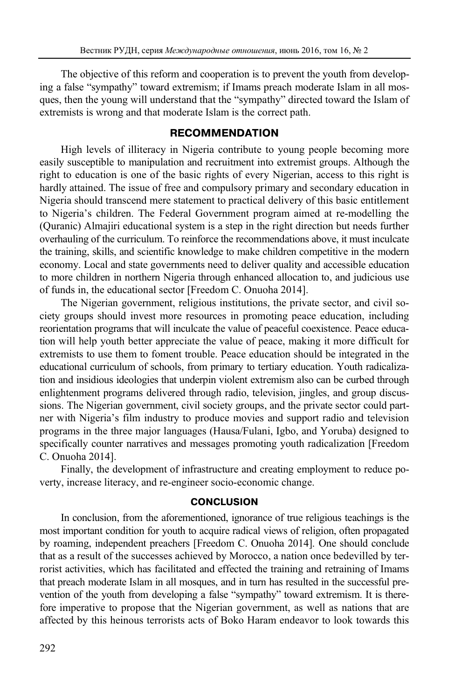The objective of this reform and cooperation is to prevent the youth from developing a false "sympathy" toward extremism; if Imams preach moderate Islam in all mosques, then the young will understand that the "sympathy" directed toward the Islam of extremists is wrong and that moderate Islam is the correct path.

### **RECOMMENDATION**

High levels of illiteracy in Nigeria contribute to young people becoming more easily susceptible to manipulation and recruitment into extremist groups. Although the right to education is one of the basic rights of every Nigerian, access to this right is hardly attained. The issue of free and compulsory primary and secondary education in Nigeria should transcend mere statement to practical delivery of this basic entitlement to Nigeria's children. The Federal Government program aimed at re-modelling the (Quranic) Almajiri educational system is a step in the right direction but needs further overhauling of the curriculum. To reinforce the recommendations above, it must inculcate the training, skills, and scientific knowledge to make children competitive in the modern economy. Local and state governments need to deliver quality and accessible education to more children in northern Nigeria through enhanced allocation to, and judicious use of funds in, the educational sector [Freedom C. Onuoha 2014].

The Nigerian government, religious institutions, the private sector, and civil society groups should invest more resources in promoting peace education, including reorientation programs that will inculcate the value of peaceful coexistence. Peace education will help youth better appreciate the value of peace, making it more difficult for extremists to use them to foment trouble. Peace education should be integrated in the educational curriculum of schools, from primary to tertiary education. Youth radicalization and insidious ideologies that underpin violent extremism also can be curbed through enlightenment programs delivered through radio, television, jingles, and group discussions. The Nigerian government, civil society groups, and the private sector could partner with Nigeria's film industry to produce movies and support radio and television programs in the three major languages (Hausa/Fulani, Igbo, and Yoruba) designed to specifically counter narratives and messages promoting youth radicalization [Freedom C. Onuoha 2014].

Finally, the development of infrastructure and creating employment to reduce poverty, increase literacy, and re-engineer socio-economic change.

#### **CONCLUSION**

In conclusion, from the aforementioned, ignorance of true religious teachings is the most important condition for youth to acquire radical views of religion, often propagated by roaming, independent preachers [Freedom C. Onuoha 2014]. One should conclude that as a result of the successes achieved by Morocco, a nation once bedevilled by terrorist activities, which has facilitated and effected the training and retraining of Imams that preach moderate Islam in all mosques, and in turn has resulted in the successful prevention of the youth from developing a false "sympathy" toward extremism. It is therefore imperative to propose that the Nigerian government, as well as nations that are affected by this heinous terrorists acts of Boko Haram endeavor to look towards this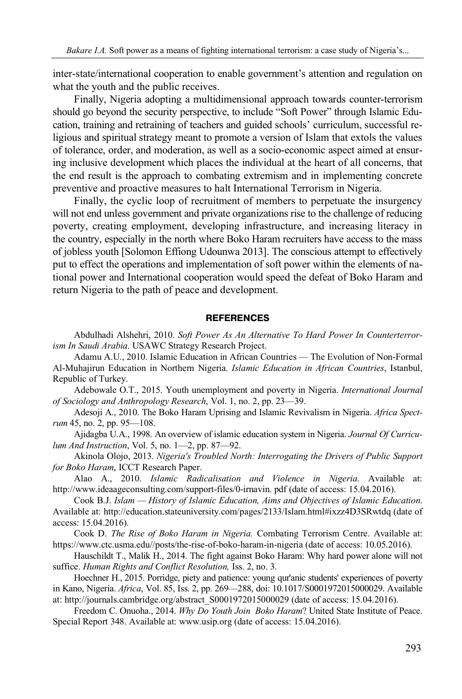inter-state/international cooperation to enable government's attention and regulation on what the youth and the public receives.

Finally, Nigeria adopting a multidimensional approach towards counter-terrorism should go beyond the security perspective, to include "Soft Power" through Islamic Education, training and retraining of teachers and guided schools' curriculum, successful religious and spiritual strategy meant to promote a version of Islam that extols the values of tolerance, order, and moderation, as well as a socio-economic aspect aimed at ensuring inclusive development which places the individual at the heart of all concerns, that the end result is the approach to combating extremism and in implementing concrete preventive and proactive measures to halt International Terrorism in Nigeria.

Finally, the cyclic loop of recruitment of members to perpetuate the insurgency will not end unless government and private organizations rise to the challenge of reducing poverty, creating employment, developing infrastructure, and increasing literacy in the country, especially in the north where Boko Haram recruiters have access to the mass of jobless youth [Solomon Effiong Udounwa 2013]. The conscious attempt to effectively put to effect the operations and implementation of soft power within the elements of national power and International cooperation would speed the defeat of Boko Haram and return Nigeria to the path of peace and development.

#### **REFERENCES**

Abdulhadi Alshehri, 2010. *Soft Power As An Alternative To Hard Power In Counterterrorism In Saudi Arabia*. USAWC Strategy Research Project.

Adamu A.U., 2010. Islamic Education in African Countries — The Evolution of Non-Formal Al-Muhajirun Education in Northern Nigeria. *Islamic Education in African Countries*, Istanbul, Republic of Turkey.

Adebowale O.T., 2015. Youth unemployment and poverty in Nigeria. *International Journal of Sociology and Anthropology Research*, Vol. 1, no. 2, pp. 23—39.

Adesoji A., 2010. The Boko Haram Uprising and Islamic Revivalism in Nigeria. *Africa Spectrum* 45, no. 2, pp. 95—108.

Ajidagba U.A., 1998. An overview of islamic education system in Nigeria. *Journal Of Curriculum And Instruction*, Vol. 5, no. 1—2, pp. 87—92.

Akinola Olojo, 2013. *Nigeria's Troubled North: Interrogating the Drivers of Public Support for Boko Haram*, ICCT Research Paper.

Alao A., 2010. *Islamic Radicalisation and Violence in Nigeria*. Available at: http://www.ideaageconsulting.com/support-files/0-irnavin. pdf (date of access: 15.04.2016).

Cook B.J. *Islam — History of Islamic Education, Aims and Objectives of Islamic Education*. Available at: http://education.stateuniversity.com/pages/2133/Islam.html#ixzz4D3SRwtdq (date of access: 15.04.2016).

Cook D. *The Rise of Boko Haram in Nigeria.* Combating Terrorism Centre. Available at: https://www.ctc.usma.edu//posts/the-rise-of-boko-haram-in-nigeria (date of access: 10.05.2016).

Hauschildt T., Malik H., 2014. The fight against Boko Haram: Why hard power alone will not suffice. *Human Rights and Conflict Resolution,* Iss. 2, no. 3.

Hoechner H., 2015. Porridge, piety and patience: young qur'anic students' experiences of poverty in Kano, Nigeria. *Africa*, Vol. 85, Iss. 2, pp. 269—288, doi: 10.1017/S0001972015000029. Available at: http://journals.cambridge.org/abstract\_S0001972015000029 (date of access: 15.04.2016).

Freedom C. Onuoha., 2014. *Why Do Youth Join Boko Haram*? United State Institute of Peace. Special Report 348. Available at: www.usip.org (date of access: 15.04.2016).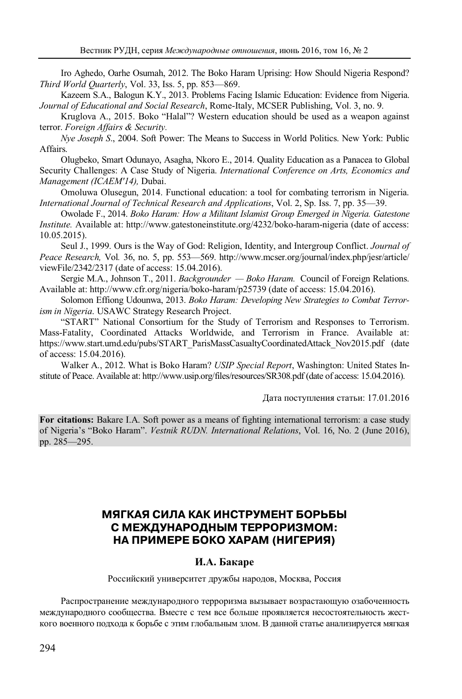Iro Aghedo, Oarhe Osumah, 2012. The Boko Haram Uprising: How Should Nigeria Respond? *Third World Quarterly*, Vol. 33, Iss. 5, pp. 853—869.

Kazeem S.A., Balogun K.Y., 2013. Problems Facing Islamic Education: Evidence from Nigeria. *Journal of Educational and Social Research*, Rome-Italy, MCSER Publishing, Vol. 3, no. 9.

Kruglova A., 2015. Boko "Halal"? Western education should be used as a weapon against terror. *Foreign Affairs & Security.*

*Nye Joseph S*., 2004. Soft Power: The Means to Success in World Politics. New York: Public Affairs.

Olugbeko, Smart Odunayo, Asagha, Nkoro E., 2014. Quality Education as a Panacea to Global Security Challenges: A Case Study of Nigeria. *International Conference on Arts, Economics and Management (ICAEM'14),* Dubai.

Omoluwa Olusegun, 2014. Functional education: a tool for combating terrorism in Nigeria. *International Journal of Technical Research and Applications*, Vol. 2, Sp. Iss. 7, pp. 35—39.

Owolade F., 2014. *Boko Haram: How a Militant Islamist Group Emerged in Nigeria. Gatestone Institute.* Available at: http://www.gatestoneinstitute.org/4232/boko-haram-nigeria (date of access: 10.05.2015).

Seul J., 1999. Ours is the Way of God: Religion, Identity, and Intergroup Conflict. *Journal of Peace Research,* Vol*.* 36, no. 5, pp. 553—569. http://www.mcser.org/journal/index.php/jesr/article/ viewFile/2342/2317 (date of access: 15.04.2016).

Sergie M.A., Johnson T., 2011. *Backgrounder — Boko Haram.* Council of Foreign Relations. Available at: http://www.cfr.org/nigeria/boko-haram/p25739 (date of access: 15.04.2016).

Solomon Effiong Udounwa, 2013. *Boko Haram: Developing New Strategies to Combat Terrorism in Nigeria*. USAWC Strategy Research Project.

"START" National Consortium for the Study of Terrorism and Responses to Terrorism. Mass-Fatality, Coordinated Attacks Worldwide, and Terrorism in France. Available at: https://www.start.umd.edu/pubs/START\_ParisMassCasualtyCoordinatedAttack\_Nov2015.pdf (date of access: 15.04.2016).

Walker A., 2012. What is Boko Haram? *USIP Special Report*, Washington: United States Institute of Peace. Available at: http://www.usip.org/files/resources/SR308.pdf (date of access: 15.04.2016).

Дата поступления статьи: 17.01.2016

**For citations:** Bakare I.A. Soft power as a means of fighting international terrorism: a case study of Nigeria's "Boko Haram". *Vestnik RUDN. International Relations*, Vol. 16, No. 2 (June 2016), pp. 285—295.

# **МЯГКАЯ СИЛА КАК ИНСТРУМЕНТ БОРЬБЫ С МЕЖДУНАРОДНЫМ ТЕРРОРИЗМОМ: НА ПРИМЕРЕ БОКО ХАРАМ (НИГЕРИЯ)**

### **И.А. Бакаре**

Российский университет дружбы народов, Москва, Россия

Распространение международного терроризма вызывает возрастающую озабоченность международного сообщества. Вместе с тем все больше проявляется несостоятельность жесткого военного подхода к борьбе с этим глобальным злом. В данной статье анализируется мягкая